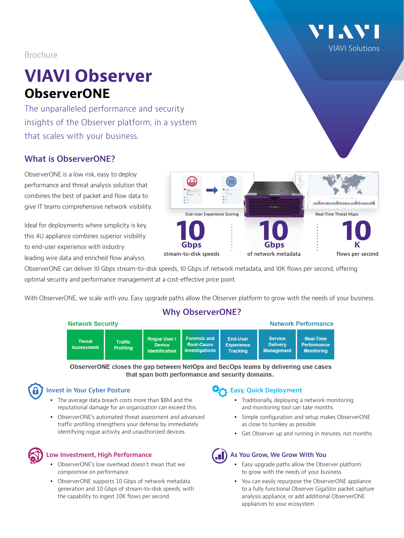[VIAVI Solutions](http://www.viavisolutions.com)

# Brochure

# **VIAVI Observer ObserverONE**

The unparalleled performance and security insights of the Observer platform, in a system that scales with your business.

# **What is ObserverONE?**

ObserverONE is a low risk, easy to deploy performance and threat analysis solution that combines the best of packet and flow data to give IT teams comprehensive network visibility.

Ideal for deployments where simplicity is key, this 4U appliance combines superior visibility to end-user experience with industry

leading wire data and enriched flow analysis. ObserverONE can deliver 10 Gbps stream-to-disk speeds, 10 Gbps of network metadata, and 10K flows per second, offering

optimal security and performance management at a cost-effective price point.

With ObserverONE, we scale with you. Easy upgrade paths allow the Observer platform to grow with the needs of your business.

## **Why ObserverONE?**

| <b>INCLWULK OCCULILY</b><br>$R = R$ |                                    |                                                               |                                                                   |                                                         |                                                        |                                                             |
|-------------------------------------|------------------------------------|---------------------------------------------------------------|-------------------------------------------------------------------|---------------------------------------------------------|--------------------------------------------------------|-------------------------------------------------------------|
| <b>Threat</b><br><b>Assessment</b>  | <b>Traffic</b><br><b>Profiling</b> | <b>Roque User /</b><br><b>Device</b><br><b>Identification</b> | <b>Forensic and</b><br><b>Root-Cause</b><br><b>Investigations</b> | <b>End-User</b><br><b>Experience</b><br><b>Tracking</b> | <b>Service</b><br><b>Delivery</b><br><b>Management</b> | <b>Real-Time</b><br><b>Performance</b><br><b>Monitoring</b> |

ObserverONE closes the gap between NetOps and SecOps teams by delivering use cases that span both performance and security domains.

## **Invest in Your Cyber Posture**

Notwork Coourity

- The average data breach costs more than \$8M and the reputational damage for an organization can exceed this.
- ObserverONE's automated threat assessment and advanced traffic profiling strengthens your defense by immediately identifying rogue activity and unauthorized devices.



#### **Low Investment, High Performance**

- ObserverONE's low overhead doesn't mean that we compromise on performance.
- ObserverONE supports 10 Gbps of network metadata generation and 10 Gbps of stream-to-disk speeds, with the capability to ingest 10K flows per second.

## **Easy, Quick Deployment**

- Traditionally, deploying a network monitoring and monitoring tool can take months.
- Simple configuration and setup makes ObserverONE as close to turnkey as possible.

Notwork Derformance

• Get Observer up and running in minutes, not months.

## **As You Grow, We Grow With You**

- Easy upgrade paths allow the Observer platform to grow with the needs of your business.
- You can easily repurpose the ObserverONE appliance to a fully functional Observer GigaStor packet capture analysis appliance, or add additional ObserverONE appliances to your ecosystem.